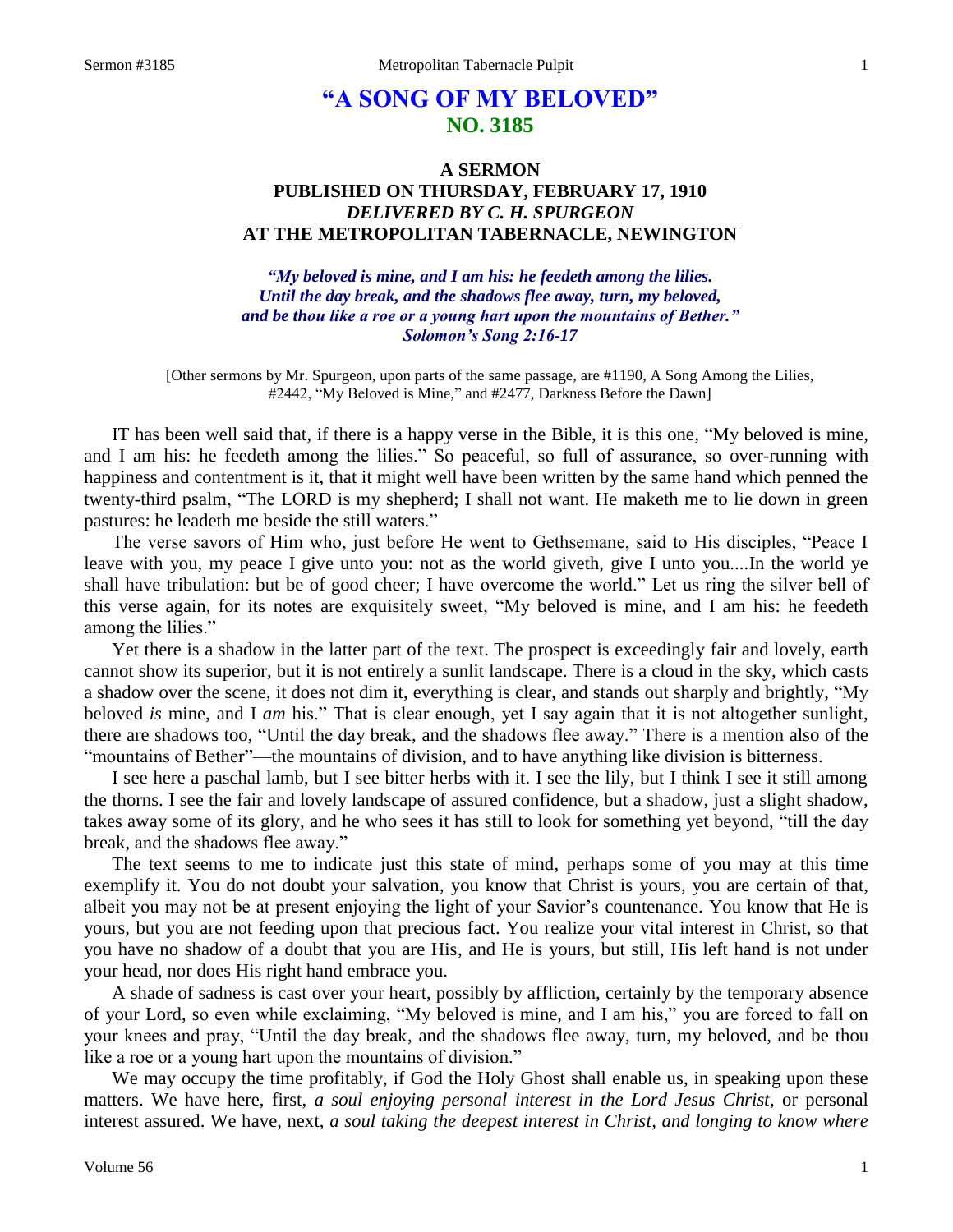# **"A SONG OF MY BELOVED" NO. 3185**

## **A SERMON PUBLISHED ON THURSDAY, FEBRUARY 17, 1910** *DELIVERED BY C. H. SPURGEON* **AT THE METROPOLITAN TABERNACLE, NEWINGTON**

*"My beloved is mine, and I am his: he feedeth among the lilies. Until the day break, and the shadows flee away, turn, my beloved, and be thou like a roe or a young hart upon the mountains of Bether." Solomon's Song 2:16-17*

[Other sermons by Mr. Spurgeon, upon parts of the same passage, are #1190, A Song Among the Lilies, #2442, "My Beloved is Mine," and #2477, Darkness Before the Dawn]

IT has been well said that, if there is a happy verse in the Bible, it is this one, "My beloved is mine, and I am his: he feedeth among the lilies." So peaceful, so full of assurance, so over-running with happiness and contentment is it, that it might well have been written by the same hand which penned the twenty-third psalm, "The LORD is my shepherd; I shall not want. He maketh me to lie down in green pastures: he leadeth me beside the still waters."

The verse savors of Him who, just before He went to Gethsemane, said to His disciples, "Peace I leave with you, my peace I give unto you: not as the world giveth, give I unto you....In the world ye shall have tribulation: but be of good cheer; I have overcome the world." Let us ring the silver bell of this verse again, for its notes are exquisitely sweet, "My beloved is mine, and I am his: he feedeth among the lilies."

Yet there is a shadow in the latter part of the text. The prospect is exceedingly fair and lovely, earth cannot show its superior, but it is not entirely a sunlit landscape. There is a cloud in the sky, which casts a shadow over the scene, it does not dim it, everything is clear, and stands out sharply and brightly, "My beloved *is* mine, and I *am* his." That is clear enough, yet I say again that it is not altogether sunlight, there are shadows too, "Until the day break, and the shadows flee away." There is a mention also of the "mountains of Bether"—the mountains of division, and to have anything like division is bitterness.

I see here a paschal lamb, but I see bitter herbs with it. I see the lily, but I think I see it still among the thorns. I see the fair and lovely landscape of assured confidence, but a shadow, just a slight shadow, takes away some of its glory, and he who sees it has still to look for something yet beyond, "till the day break, and the shadows flee away."

The text seems to me to indicate just this state of mind, perhaps some of you may at this time exemplify it. You do not doubt your salvation, you know that Christ is yours, you are certain of that, albeit you may not be at present enjoying the light of your Savior's countenance. You know that He is yours, but you are not feeding upon that precious fact. You realize your vital interest in Christ, so that you have no shadow of a doubt that you are His, and He is yours, but still, His left hand is not under your head, nor does His right hand embrace you.

A shade of sadness is cast over your heart, possibly by affliction, certainly by the temporary absence of your Lord, so even while exclaiming, "My beloved is mine, and I am his," you are forced to fall on your knees and pray, "Until the day break, and the shadows flee away, turn, my beloved, and be thou like a roe or a young hart upon the mountains of division."

We may occupy the time profitably, if God the Holy Ghost shall enable us, in speaking upon these matters. We have here, first, *a soul enjoying personal interest in the Lord Jesus Christ,* or personal interest assured. We have, next, *a soul taking the deepest interest in Christ, and longing to know where*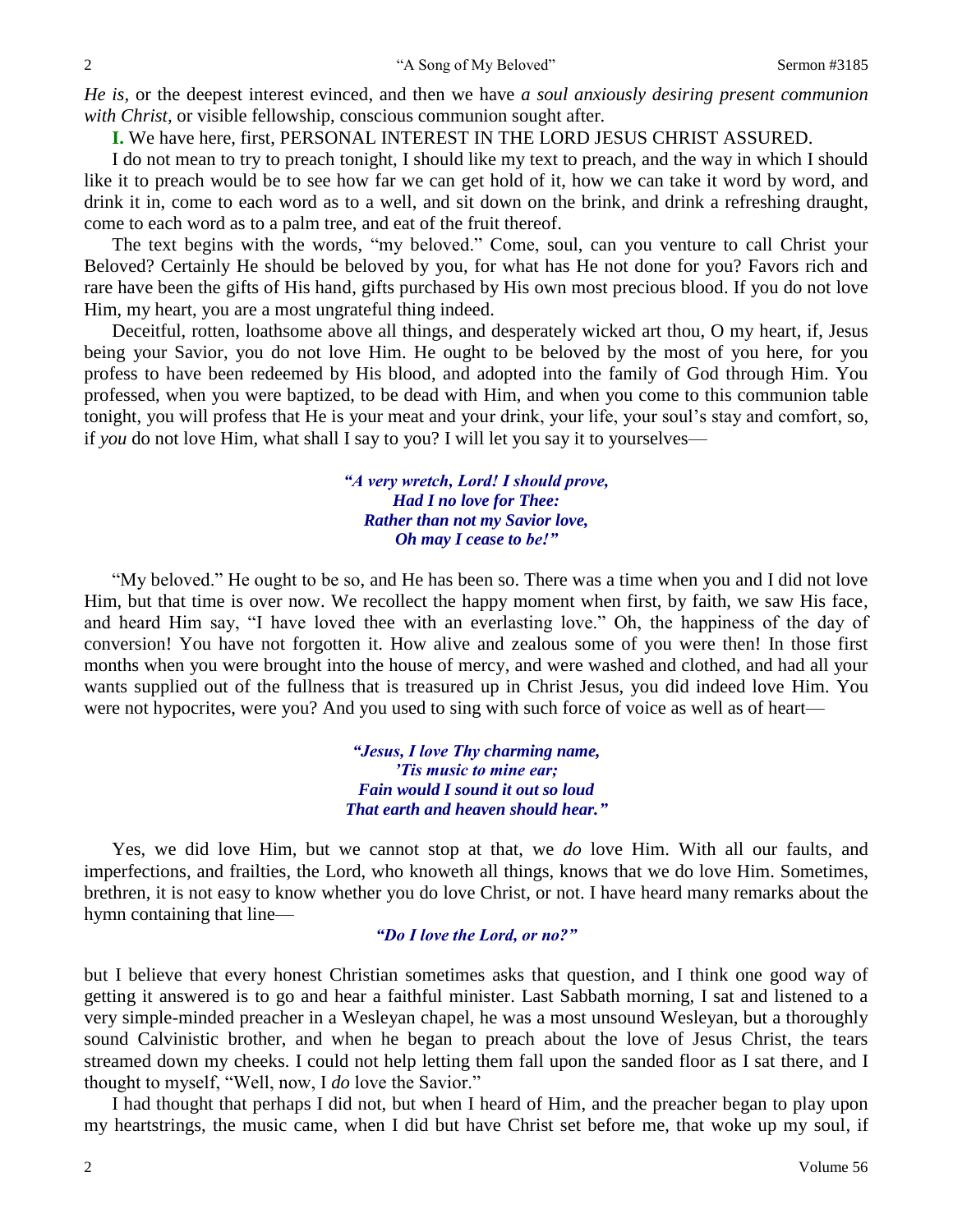*He is,* or the deepest interest evinced, and then we have *a soul anxiously desiring present communion with Christ,* or visible fellowship, conscious communion sought after.

**I.** We have here, first, PERSONAL INTEREST IN THE LORD JESUS CHRIST ASSURED.

I do not mean to try to preach tonight, I should like my text to preach, and the way in which I should like it to preach would be to see how far we can get hold of it, how we can take it word by word, and drink it in, come to each word as to a well, and sit down on the brink, and drink a refreshing draught, come to each word as to a palm tree, and eat of the fruit thereof.

The text begins with the words, "my beloved." Come, soul, can you venture to call Christ your Beloved? Certainly He should be beloved by you, for what has He not done for you? Favors rich and rare have been the gifts of His hand, gifts purchased by His own most precious blood. If you do not love Him, my heart, you are a most ungrateful thing indeed.

Deceitful, rotten, loathsome above all things, and desperately wicked art thou, O my heart, if, Jesus being your Savior, you do not love Him. He ought to be beloved by the most of you here, for you profess to have been redeemed by His blood, and adopted into the family of God through Him. You professed, when you were baptized, to be dead with Him, and when you come to this communion table tonight, you will profess that He is your meat and your drink, your life, your soul's stay and comfort, so, if *you* do not love Him, what shall I say to you? I will let you say it to yourselves—

> *"A very wretch, Lord! I should prove, Had I no love for Thee: Rather than not my Savior love, Oh may I cease to be!"*

"My beloved." He ought to be so, and He has been so. There was a time when you and I did not love Him, but that time is over now. We recollect the happy moment when first, by faith, we saw His face, and heard Him say, "I have loved thee with an everlasting love." Oh, the happiness of the day of conversion! You have not forgotten it. How alive and zealous some of you were then! In those first months when you were brought into the house of mercy, and were washed and clothed, and had all your wants supplied out of the fullness that is treasured up in Christ Jesus, you did indeed love Him. You were not hypocrites, were you? And you used to sing with such force of voice as well as of heart—

> *"Jesus, I love Thy charming name, 'Tis music to mine ear; Fain would I sound it out so loud That earth and heaven should hear."*

Yes, we did love Him, but we cannot stop at that, we *do* love Him. With all our faults, and imperfections, and frailties, the Lord, who knoweth all things, knows that we do love Him. Sometimes, brethren, it is not easy to know whether you do love Christ, or not. I have heard many remarks about the hymn containing that line—

### *"Do I love the Lord, or no?"*

but I believe that every honest Christian sometimes asks that question, and I think one good way of getting it answered is to go and hear a faithful minister. Last Sabbath morning, I sat and listened to a very simple-minded preacher in a Wesleyan chapel, he was a most unsound Wesleyan, but a thoroughly sound Calvinistic brother, and when he began to preach about the love of Jesus Christ, the tears streamed down my cheeks. I could not help letting them fall upon the sanded floor as I sat there, and I thought to myself, "Well, now, I *do* love the Savior."

I had thought that perhaps I did not, but when I heard of Him, and the preacher began to play upon my heartstrings, the music came, when I did but have Christ set before me, that woke up my soul, if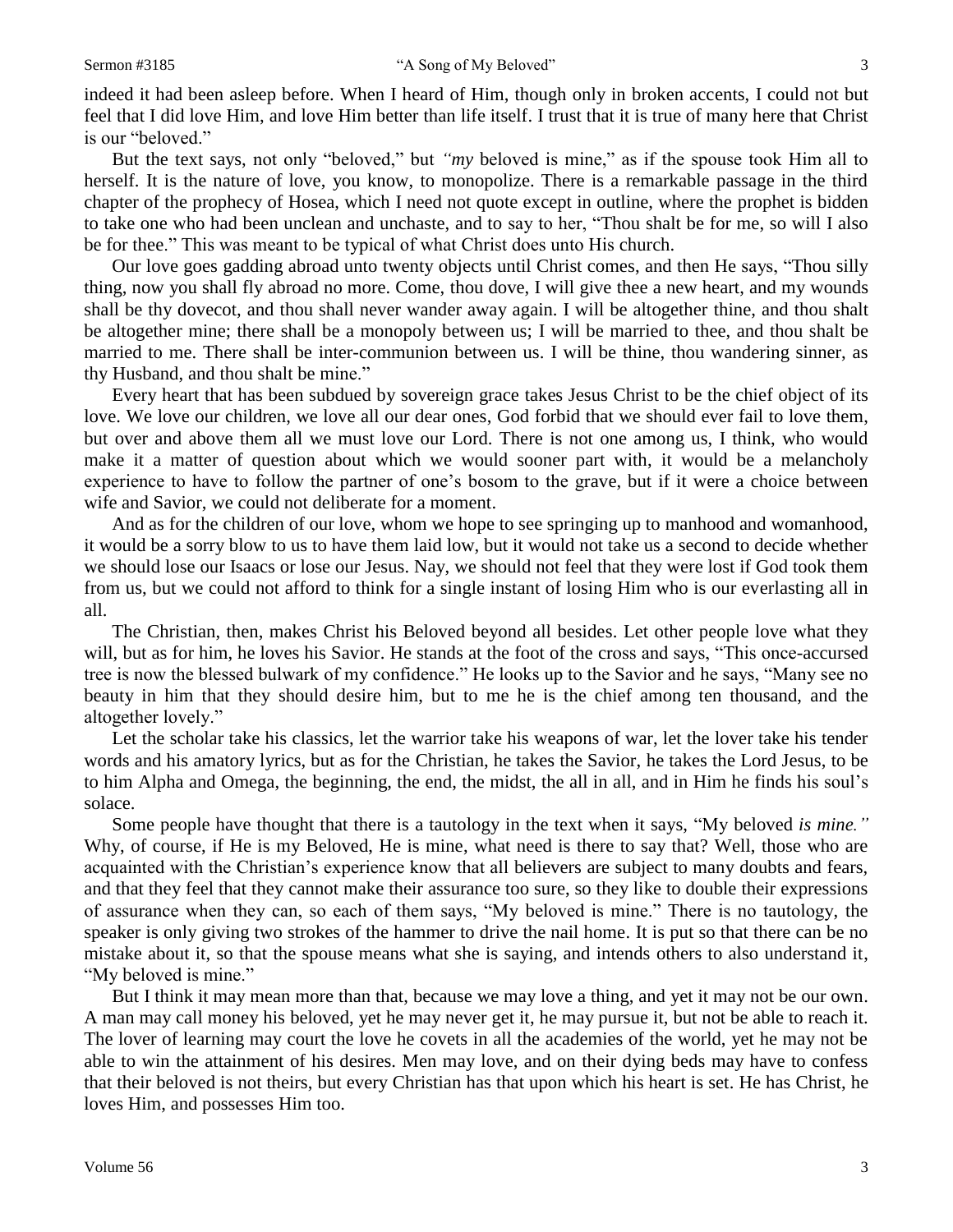indeed it had been asleep before. When I heard of Him, though only in broken accents, I could not but feel that I did love Him, and love Him better than life itself. I trust that it is true of many here that Christ is our "beloved."

But the text says, not only "beloved," but *"my* beloved is mine," as if the spouse took Him all to herself. It is the nature of love, you know, to monopolize. There is a remarkable passage in the third chapter of the prophecy of Hosea, which I need not quote except in outline, where the prophet is bidden to take one who had been unclean and unchaste, and to say to her, "Thou shalt be for me, so will I also be for thee." This was meant to be typical of what Christ does unto His church.

Our love goes gadding abroad unto twenty objects until Christ comes, and then He says, "Thou silly thing, now you shall fly abroad no more. Come, thou dove, I will give thee a new heart, and my wounds shall be thy dovecot, and thou shall never wander away again. I will be altogether thine, and thou shalt be altogether mine; there shall be a monopoly between us; I will be married to thee, and thou shalt be married to me. There shall be inter-communion between us. I will be thine, thou wandering sinner, as thy Husband, and thou shalt be mine."

Every heart that has been subdued by sovereign grace takes Jesus Christ to be the chief object of its love. We love our children, we love all our dear ones, God forbid that we should ever fail to love them, but over and above them all we must love our Lord. There is not one among us, I think, who would make it a matter of question about which we would sooner part with, it would be a melancholy experience to have to follow the partner of one's bosom to the grave, but if it were a choice between wife and Savior, we could not deliberate for a moment.

And as for the children of our love, whom we hope to see springing up to manhood and womanhood, it would be a sorry blow to us to have them laid low, but it would not take us a second to decide whether we should lose our Isaacs or lose our Jesus. Nay, we should not feel that they were lost if God took them from us, but we could not afford to think for a single instant of losing Him who is our everlasting all in all.

The Christian, then, makes Christ his Beloved beyond all besides. Let other people love what they will, but as for him, he loves his Savior. He stands at the foot of the cross and says, "This once-accursed tree is now the blessed bulwark of my confidence." He looks up to the Savior and he says, "Many see no beauty in him that they should desire him, but to me he is the chief among ten thousand, and the altogether lovely."

Let the scholar take his classics, let the warrior take his weapons of war, let the lover take his tender words and his amatory lyrics, but as for the Christian, he takes the Savior, he takes the Lord Jesus, to be to him Alpha and Omega, the beginning, the end, the midst, the all in all, and in Him he finds his soul's solace.

Some people have thought that there is a tautology in the text when it says, "My beloved *is mine."* Why, of course, if He is my Beloved, He is mine, what need is there to say that? Well, those who are acquainted with the Christian's experience know that all believers are subject to many doubts and fears, and that they feel that they cannot make their assurance too sure, so they like to double their expressions of assurance when they can, so each of them says, "My beloved is mine." There is no tautology, the speaker is only giving two strokes of the hammer to drive the nail home. It is put so that there can be no mistake about it, so that the spouse means what she is saying, and intends others to also understand it, "My beloved is mine."

But I think it may mean more than that, because we may love a thing, and yet it may not be our own. A man may call money his beloved, yet he may never get it, he may pursue it, but not be able to reach it. The lover of learning may court the love he covets in all the academies of the world, yet he may not be able to win the attainment of his desires. Men may love, and on their dying beds may have to confess that their beloved is not theirs, but every Christian has that upon which his heart is set. He has Christ, he loves Him, and possesses Him too.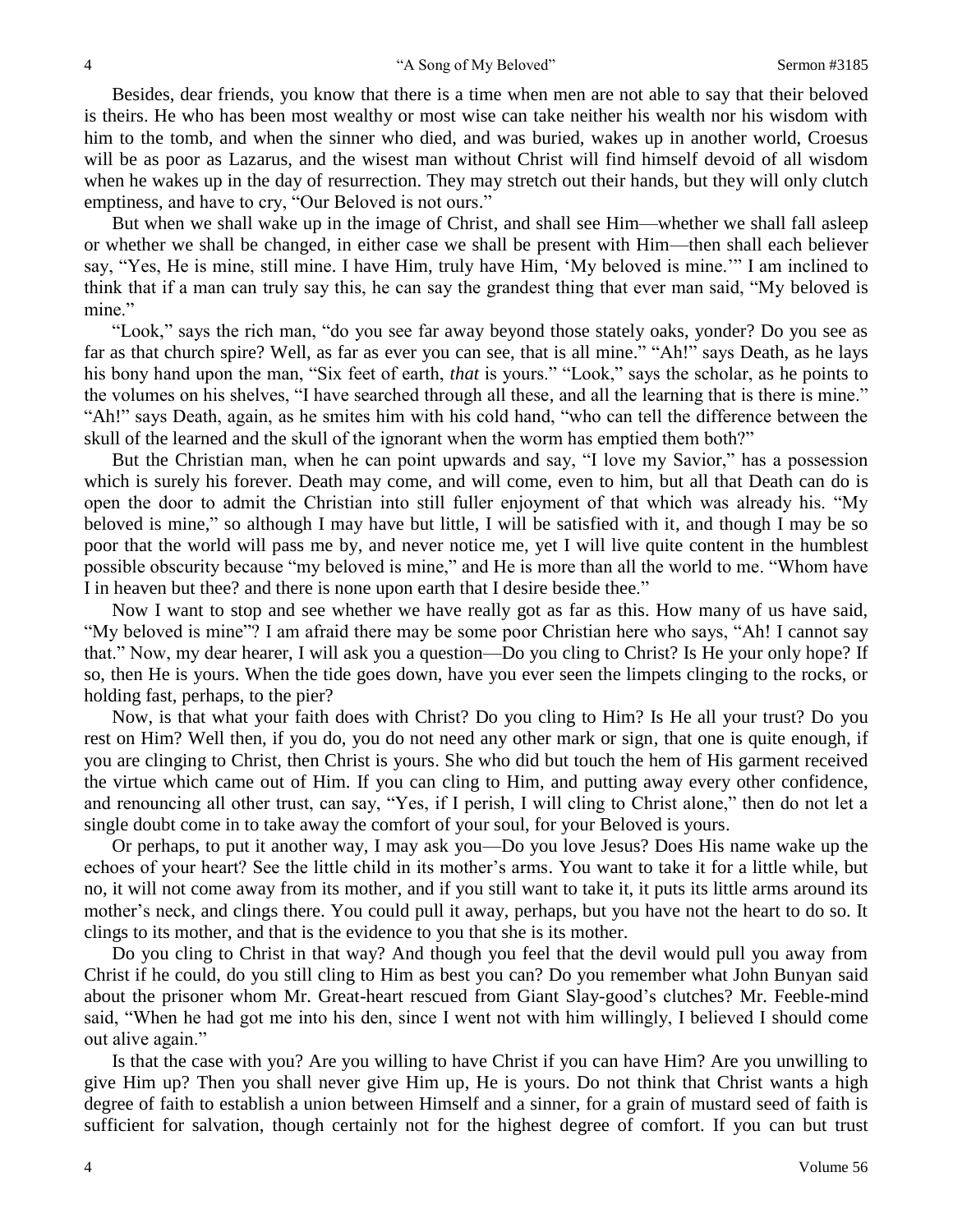Besides, dear friends, you know that there is a time when men are not able to say that their beloved is theirs. He who has been most wealthy or most wise can take neither his wealth nor his wisdom with him to the tomb, and when the sinner who died, and was buried, wakes up in another world, Croesus will be as poor as Lazarus, and the wisest man without Christ will find himself devoid of all wisdom when he wakes up in the day of resurrection. They may stretch out their hands, but they will only clutch emptiness, and have to cry, "Our Beloved is not ours."

But when we shall wake up in the image of Christ, and shall see Him—whether we shall fall asleep or whether we shall be changed, in either case we shall be present with Him—then shall each believer say, "Yes, He is mine, still mine. I have Him, truly have Him, 'My beloved is mine.'" I am inclined to think that if a man can truly say this, he can say the grandest thing that ever man said, "My beloved is mine."

"Look," says the rich man, "do you see far away beyond those stately oaks, yonder? Do you see as far as that church spire? Well, as far as ever you can see, that is all mine." "Ah!" says Death, as he lays his bony hand upon the man, "Six feet of earth, *that* is yours." "Look," says the scholar, as he points to the volumes on his shelves, "I have searched through all these, and all the learning that is there is mine." "Ah!" says Death, again, as he smites him with his cold hand, "who can tell the difference between the skull of the learned and the skull of the ignorant when the worm has emptied them both?"

But the Christian man, when he can point upwards and say, "I love my Savior," has a possession which is surely his forever. Death may come, and will come, even to him, but all that Death can do is open the door to admit the Christian into still fuller enjoyment of that which was already his. "My beloved is mine," so although I may have but little, I will be satisfied with it, and though I may be so poor that the world will pass me by, and never notice me, yet I will live quite content in the humblest possible obscurity because "my beloved is mine," and He is more than all the world to me. "Whom have I in heaven but thee? and there is none upon earth that I desire beside thee."

Now I want to stop and see whether we have really got as far as this. How many of us have said, "My beloved is mine"? I am afraid there may be some poor Christian here who says, "Ah! I cannot say that." Now, my dear hearer, I will ask you a question—Do you cling to Christ? Is He your only hope? If so, then He is yours. When the tide goes down, have you ever seen the limpets clinging to the rocks, or holding fast, perhaps, to the pier?

Now, is that what your faith does with Christ? Do you cling to Him? Is He all your trust? Do you rest on Him? Well then, if you do, you do not need any other mark or sign, that one is quite enough, if you are clinging to Christ, then Christ is yours. She who did but touch the hem of His garment received the virtue which came out of Him. If you can cling to Him, and putting away every other confidence, and renouncing all other trust, can say, "Yes, if I perish, I will cling to Christ alone," then do not let a single doubt come in to take away the comfort of your soul, for your Beloved is yours.

Or perhaps, to put it another way, I may ask you—Do you love Jesus? Does His name wake up the echoes of your heart? See the little child in its mother's arms. You want to take it for a little while, but no, it will not come away from its mother, and if you still want to take it, it puts its little arms around its mother's neck, and clings there. You could pull it away, perhaps, but you have not the heart to do so. It clings to its mother, and that is the evidence to you that she is its mother.

Do you cling to Christ in that way? And though you feel that the devil would pull you away from Christ if he could, do you still cling to Him as best you can? Do you remember what John Bunyan said about the prisoner whom Mr. Great-heart rescued from Giant Slay-good's clutches? Mr. Feeble-mind said, "When he had got me into his den, since I went not with him willingly, I believed I should come out alive again."

Is that the case with you? Are you willing to have Christ if you can have Him? Are you unwilling to give Him up? Then you shall never give Him up, He is yours. Do not think that Christ wants a high degree of faith to establish a union between Himself and a sinner, for a grain of mustard seed of faith is sufficient for salvation, though certainly not for the highest degree of comfort. If you can but trust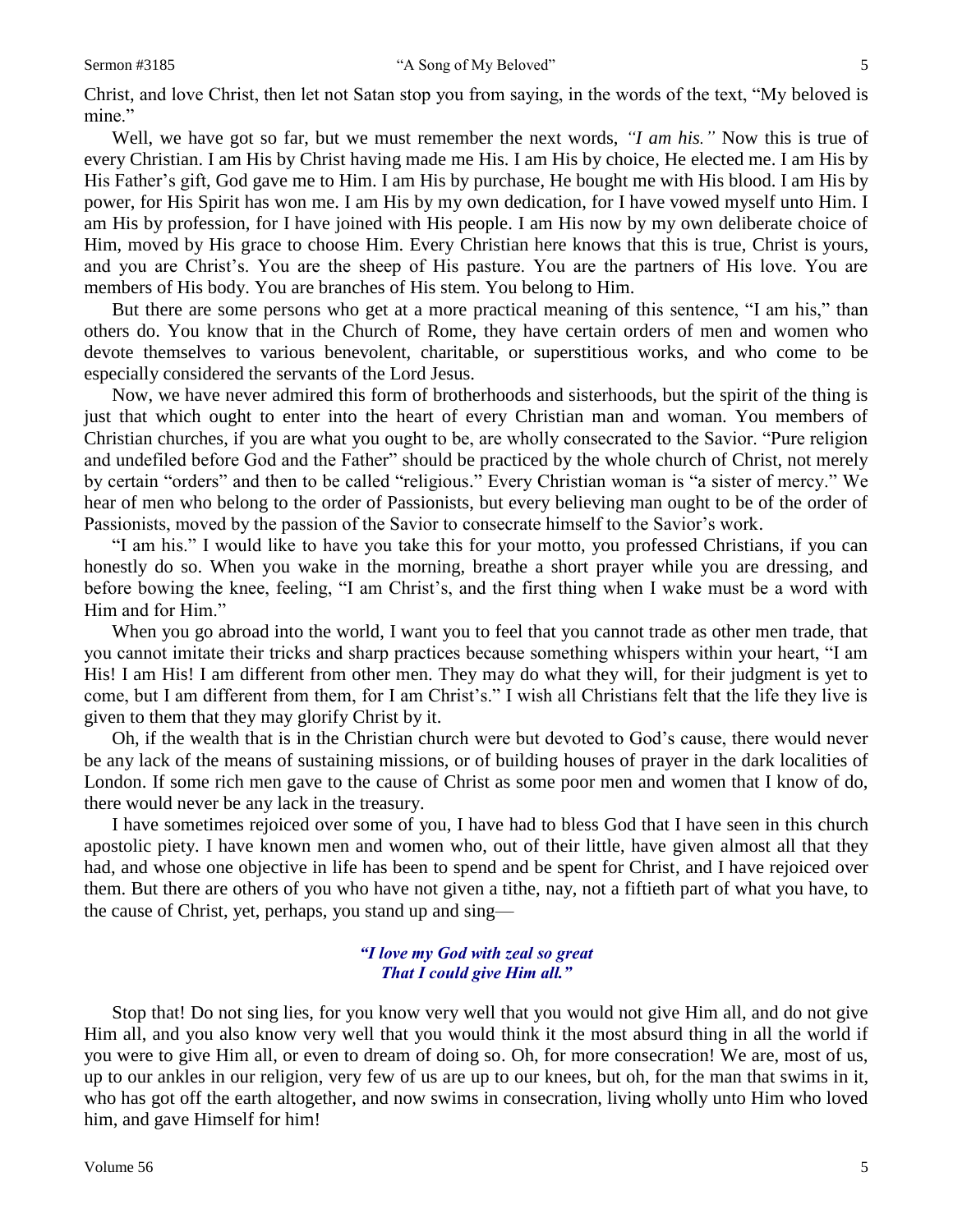Christ, and love Christ, then let not Satan stop you from saying, in the words of the text, "My beloved is mine."

Well, we have got so far, but we must remember the next words, *"I am his."* Now this is true of every Christian. I am His by Christ having made me His. I am His by choice, He elected me. I am His by His Father's gift, God gave me to Him. I am His by purchase, He bought me with His blood. I am His by power, for His Spirit has won me. I am His by my own dedication, for I have vowed myself unto Him. I am His by profession, for I have joined with His people. I am His now by my own deliberate choice of Him, moved by His grace to choose Him. Every Christian here knows that this is true, Christ is yours, and you are Christ's. You are the sheep of His pasture. You are the partners of His love. You are members of His body. You are branches of His stem. You belong to Him.

But there are some persons who get at a more practical meaning of this sentence, "I am his," than others do. You know that in the Church of Rome, they have certain orders of men and women who devote themselves to various benevolent, charitable, or superstitious works, and who come to be especially considered the servants of the Lord Jesus.

Now, we have never admired this form of brotherhoods and sisterhoods, but the spirit of the thing is just that which ought to enter into the heart of every Christian man and woman. You members of Christian churches, if you are what you ought to be, are wholly consecrated to the Savior. "Pure religion and undefiled before God and the Father" should be practiced by the whole church of Christ, not merely by certain "orders" and then to be called "religious." Every Christian woman is "a sister of mercy." We hear of men who belong to the order of Passionists, but every believing man ought to be of the order of Passionists, moved by the passion of the Savior to consecrate himself to the Savior's work.

"I am his." I would like to have you take this for your motto, you professed Christians, if you can honestly do so. When you wake in the morning, breathe a short prayer while you are dressing, and before bowing the knee, feeling, "I am Christ's, and the first thing when I wake must be a word with Him and for Him."

When you go abroad into the world, I want you to feel that you cannot trade as other men trade, that you cannot imitate their tricks and sharp practices because something whispers within your heart, "I am His! I am His! I am different from other men. They may do what they will, for their judgment is yet to come, but I am different from them, for I am Christ's." I wish all Christians felt that the life they live is given to them that they may glorify Christ by it.

Oh, if the wealth that is in the Christian church were but devoted to God's cause, there would never be any lack of the means of sustaining missions, or of building houses of prayer in the dark localities of London. If some rich men gave to the cause of Christ as some poor men and women that I know of do, there would never be any lack in the treasury.

I have sometimes rejoiced over some of you, I have had to bless God that I have seen in this church apostolic piety. I have known men and women who, out of their little, have given almost all that they had, and whose one objective in life has been to spend and be spent for Christ, and I have rejoiced over them. But there are others of you who have not given a tithe, nay, not a fiftieth part of what you have, to the cause of Christ, yet, perhaps, you stand up and sing—

#### *"I love my God with zeal so great That I could give Him all."*

Stop that! Do not sing lies, for you know very well that you would not give Him all, and do not give Him all, and you also know very well that you would think it the most absurd thing in all the world if you were to give Him all, or even to dream of doing so. Oh, for more consecration! We are, most of us, up to our ankles in our religion, very few of us are up to our knees, but oh, for the man that swims in it, who has got off the earth altogether, and now swims in consecration, living wholly unto Him who loved him, and gave Himself for him!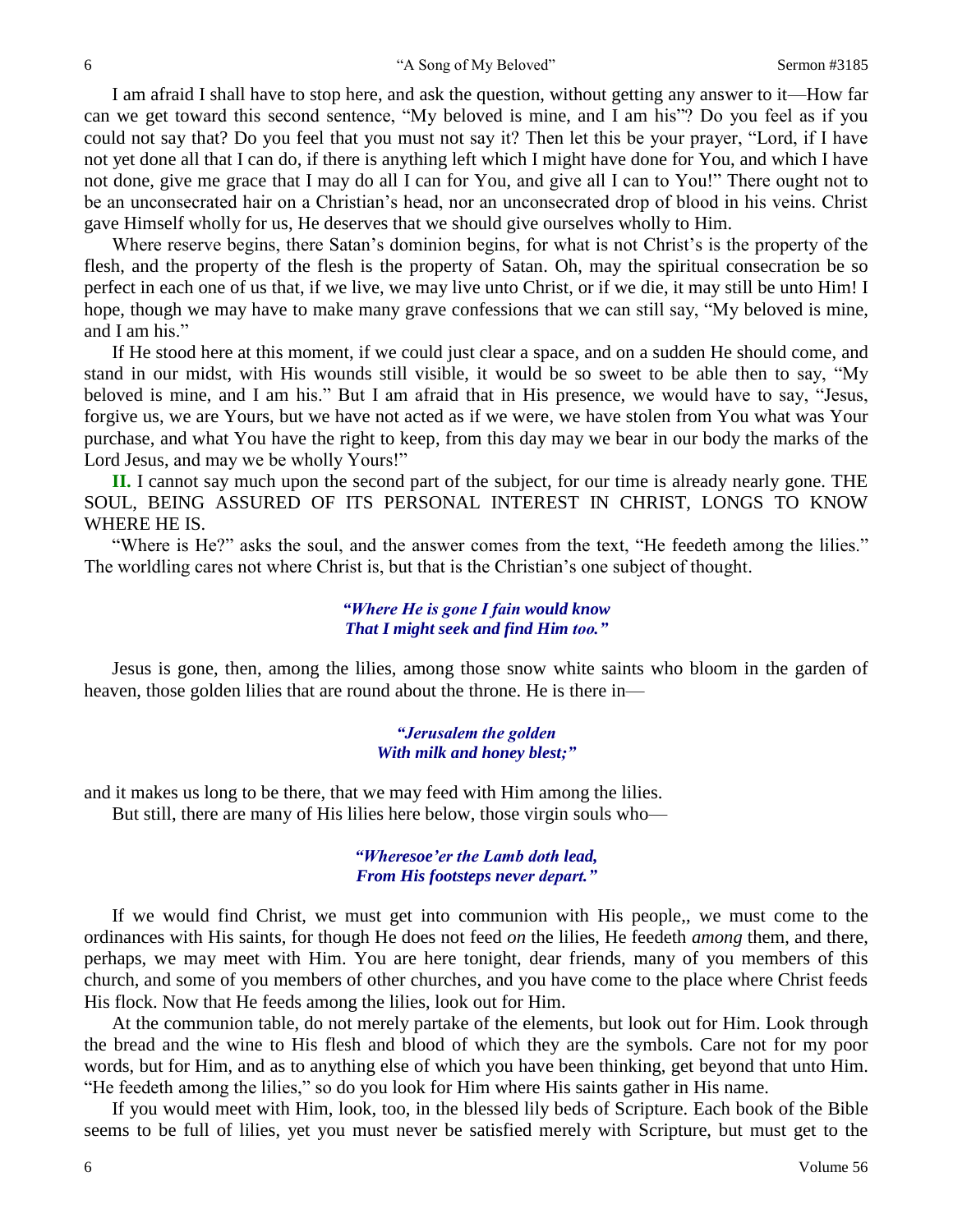I am afraid I shall have to stop here, and ask the question, without getting any answer to it—How far can we get toward this second sentence, "My beloved is mine, and I am his"? Do you feel as if you could not say that? Do you feel that you must not say it? Then let this be your prayer, "Lord, if I have not yet done all that I can do, if there is anything left which I might have done for You, and which I have not done, give me grace that I may do all I can for You, and give all I can to You!" There ought not to be an unconsecrated hair on a Christian's head, nor an unconsecrated drop of blood in his veins. Christ gave Himself wholly for us, He deserves that we should give ourselves wholly to Him.

Where reserve begins, there Satan's dominion begins, for what is not Christ's is the property of the flesh, and the property of the flesh is the property of Satan. Oh, may the spiritual consecration be so perfect in each one of us that, if we live, we may live unto Christ, or if we die, it may still be unto Him! I hope, though we may have to make many grave confessions that we can still say, "My beloved is mine, and I am his."

If He stood here at this moment, if we could just clear a space, and on a sudden He should come, and stand in our midst, with His wounds still visible, it would be so sweet to be able then to say, "My beloved is mine, and I am his." But I am afraid that in His presence, we would have to say, "Jesus, forgive us, we are Yours, but we have not acted as if we were, we have stolen from You what was Your purchase, and what You have the right to keep, from this day may we bear in our body the marks of the Lord Jesus, and may we be wholly Yours!"

**II.** I cannot say much upon the second part of the subject, for our time is already nearly gone. THE SOUL, BEING ASSURED OF ITS PERSONAL INTEREST IN CHRIST, LONGS TO KNOW WHERE HE IS.

"Where is He?" asks the soul, and the answer comes from the text, "He feedeth among the lilies." The worldling cares not where Christ is, but that is the Christian's one subject of thought.

#### *"Where He is gone I fain would know That I might seek and find Him too."*

Jesus is gone, then, among the lilies, among those snow white saints who bloom in the garden of heaven, those golden lilies that are round about the throne. He is there in—

#### *"Jerusalem the golden With milk and honey blest;"*

and it makes us long to be there, that we may feed with Him among the lilies. But still, there are many of His lilies here below, those virgin souls who—

#### *"Wheresoe'er the Lamb doth lead, From His footsteps never depart."*

If we would find Christ, we must get into communion with His people,, we must come to the ordinances with His saints, for though He does not feed *on* the lilies, He feedeth *among* them, and there, perhaps, we may meet with Him. You are here tonight, dear friends, many of you members of this church, and some of you members of other churches, and you have come to the place where Christ feeds His flock. Now that He feeds among the lilies, look out for Him.

At the communion table, do not merely partake of the elements, but look out for Him. Look through the bread and the wine to His flesh and blood of which they are the symbols. Care not for my poor words, but for Him, and as to anything else of which you have been thinking, get beyond that unto Him. "He feedeth among the lilies," so do you look for Him where His saints gather in His name.

If you would meet with Him, look, too, in the blessed lily beds of Scripture. Each book of the Bible seems to be full of lilies, yet you must never be satisfied merely with Scripture, but must get to the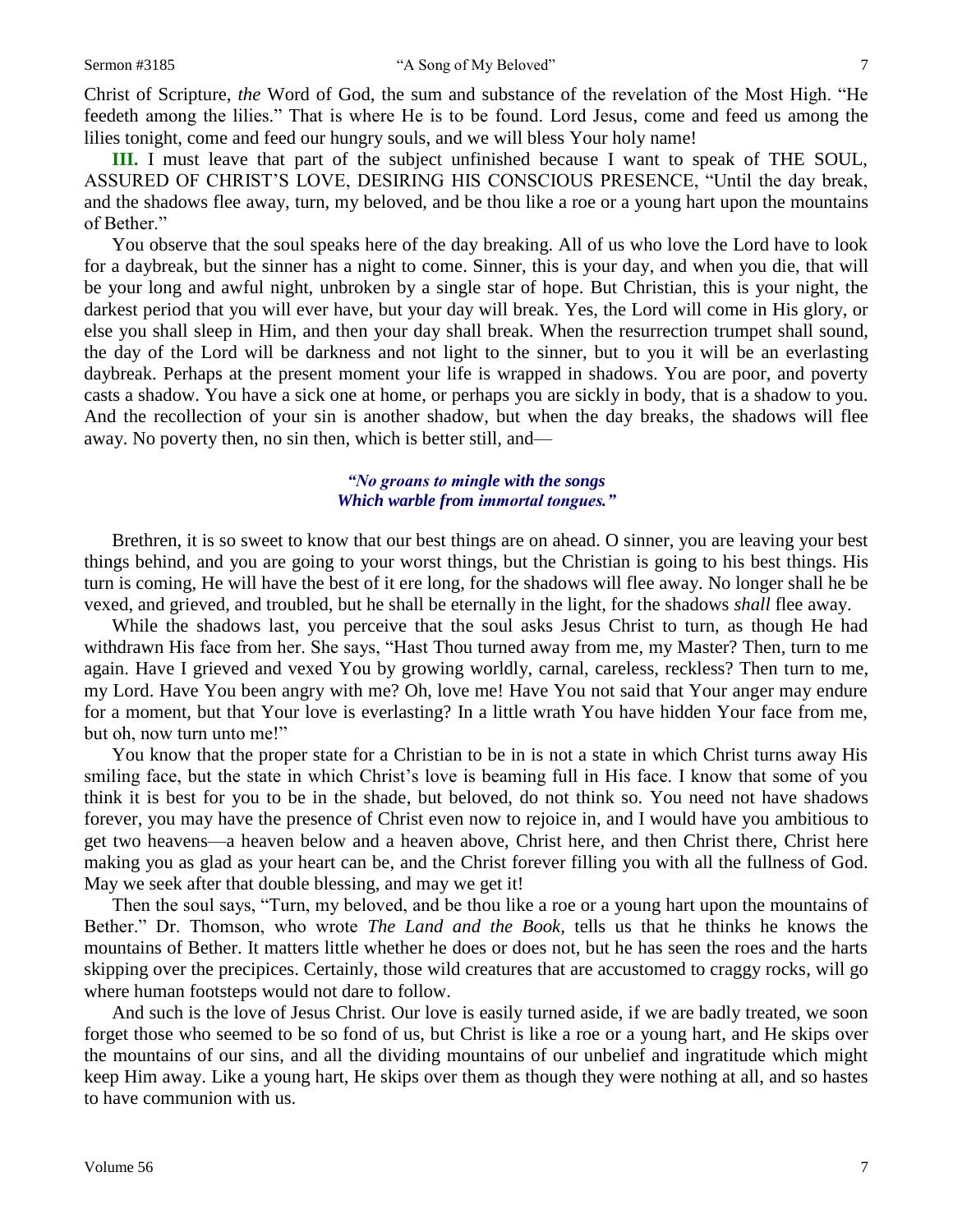Christ of Scripture, *the* Word of God, the sum and substance of the revelation of the Most High. "He feedeth among the lilies." That is where He is to be found. Lord Jesus, come and feed us among the lilies tonight, come and feed our hungry souls, and we will bless Your holy name!

**III.** I must leave that part of the subject unfinished because I want to speak of THE SOUL, ASSURED OF CHRIST'S LOVE, DESIRING HIS CONSCIOUS PRESENCE, "Until the day break, and the shadows flee away, turn, my beloved, and be thou like a roe or a young hart upon the mountains of Bether."

You observe that the soul speaks here of the day breaking. All of us who love the Lord have to look for a daybreak, but the sinner has a night to come. Sinner, this is your day, and when you die, that will be your long and awful night, unbroken by a single star of hope. But Christian, this is your night, the darkest period that you will ever have, but your day will break. Yes, the Lord will come in His glory, or else you shall sleep in Him, and then your day shall break. When the resurrection trumpet shall sound, the day of the Lord will be darkness and not light to the sinner, but to you it will be an everlasting daybreak. Perhaps at the present moment your life is wrapped in shadows. You are poor, and poverty casts a shadow. You have a sick one at home, or perhaps you are sickly in body, that is a shadow to you. And the recollection of your sin is another shadow, but when the day breaks, the shadows will flee away. No poverty then, no sin then, which is better still, and—

#### *"No groans to mingle with the songs Which warble from immortal tongues."*

Brethren, it is so sweet to know that our best things are on ahead. O sinner, you are leaving your best things behind, and you are going to your worst things, but the Christian is going to his best things. His turn is coming, He will have the best of it ere long, for the shadows will flee away. No longer shall he be vexed, and grieved, and troubled, but he shall be eternally in the light, for the shadows *shall* flee away.

While the shadows last, you perceive that the soul asks Jesus Christ to turn, as though He had withdrawn His face from her. She says, "Hast Thou turned away from me, my Master? Then, turn to me again. Have I grieved and vexed You by growing worldly, carnal, careless, reckless? Then turn to me, my Lord. Have You been angry with me? Oh, love me! Have You not said that Your anger may endure for a moment, but that Your love is everlasting? In a little wrath You have hidden Your face from me, but oh, now turn unto me!"

You know that the proper state for a Christian to be in is not a state in which Christ turns away His smiling face, but the state in which Christ's love is beaming full in His face. I know that some of you think it is best for you to be in the shade, but beloved, do not think so. You need not have shadows forever, you may have the presence of Christ even now to rejoice in, and I would have you ambitious to get two heavens—a heaven below and a heaven above, Christ here, and then Christ there, Christ here making you as glad as your heart can be, and the Christ forever filling you with all the fullness of God. May we seek after that double blessing, and may we get it!

Then the soul says, "Turn, my beloved, and be thou like a roe or a young hart upon the mountains of Bether." Dr. Thomson, who wrote *The Land and the Book,* tells us that he thinks he knows the mountains of Bether. It matters little whether he does or does not, but he has seen the roes and the harts skipping over the precipices. Certainly, those wild creatures that are accustomed to craggy rocks, will go where human footsteps would not dare to follow.

And such is the love of Jesus Christ. Our love is easily turned aside, if we are badly treated, we soon forget those who seemed to be so fond of us, but Christ is like a roe or a young hart, and He skips over the mountains of our sins, and all the dividing mountains of our unbelief and ingratitude which might keep Him away. Like a young hart, He skips over them as though they were nothing at all, and so hastes to have communion with us.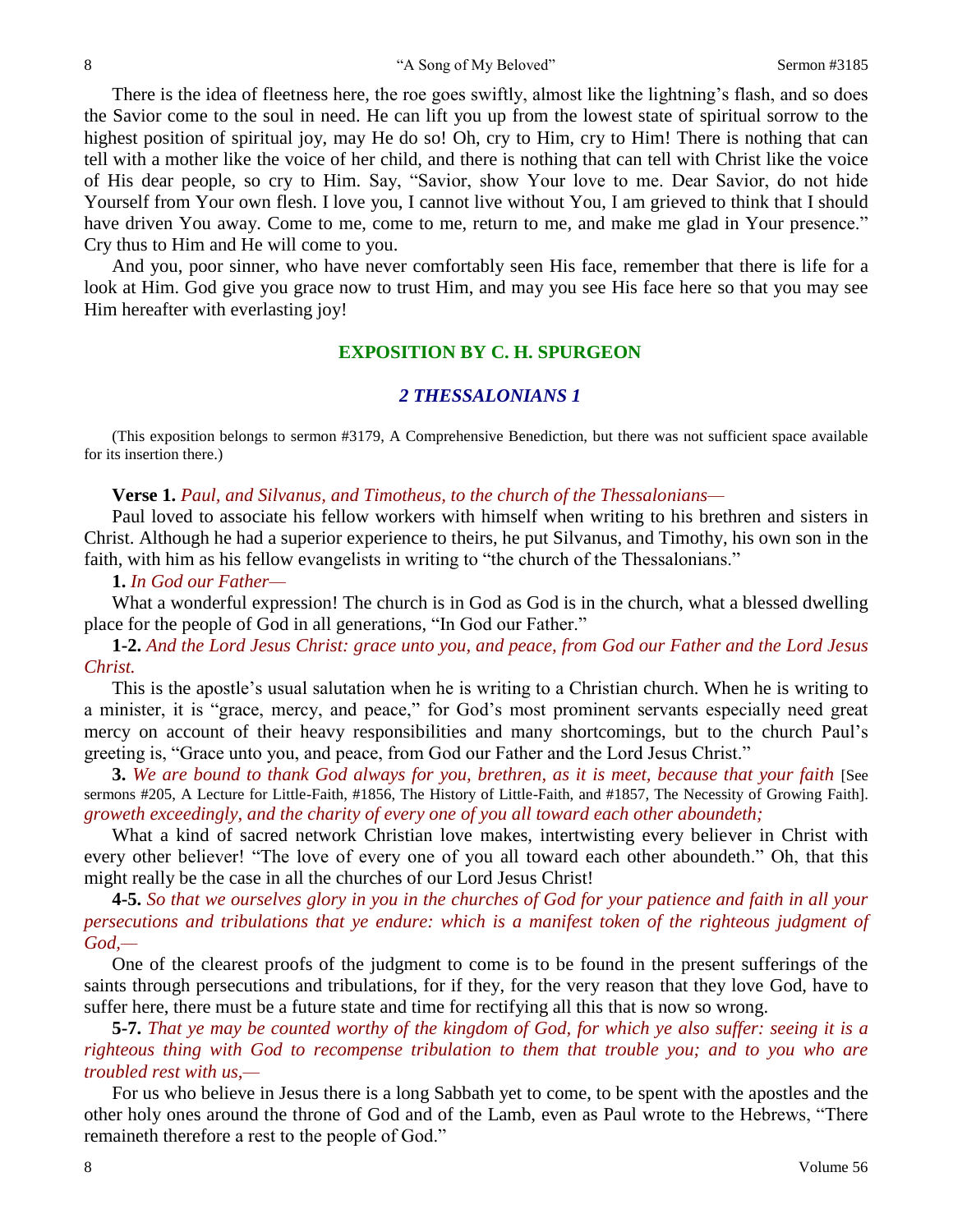There is the idea of fleetness here, the roe goes swiftly, almost like the lightning's flash, and so does the Savior come to the soul in need. He can lift you up from the lowest state of spiritual sorrow to the highest position of spiritual joy, may He do so! Oh, cry to Him, cry to Him! There is nothing that can tell with a mother like the voice of her child, and there is nothing that can tell with Christ like the voice of His dear people, so cry to Him. Say, "Savior, show Your love to me. Dear Savior, do not hide Yourself from Your own flesh. I love you, I cannot live without You, I am grieved to think that I should have driven You away. Come to me, come to me, return to me, and make me glad in Your presence." Cry thus to Him and He will come to you.

And you, poor sinner, who have never comfortably seen His face, remember that there is life for a look at Him. God give you grace now to trust Him, and may you see His face here so that you may see Him hereafter with everlasting joy!

### **EXPOSITION BY C. H. SPURGEON**

#### *2 THESSALONIANS 1*

(This exposition belongs to sermon #3179, A Comprehensive Benediction, but there was not sufficient space available for its insertion there.)

#### **Verse 1.** *Paul, and Silvanus, and Timotheus, to the church of the Thessalonians—*

Paul loved to associate his fellow workers with himself when writing to his brethren and sisters in Christ. Although he had a superior experience to theirs, he put Silvanus, and Timothy, his own son in the faith, with him as his fellow evangelists in writing to "the church of the Thessalonians."

#### **1.** *In God our Father—*

What a wonderful expression! The church is in God as God is in the church, what a blessed dwelling place for the people of God in all generations, "In God our Father."

**1-2.** *And the Lord Jesus Christ: grace unto you, and peace, from God our Father and the Lord Jesus Christ.*

This is the apostle's usual salutation when he is writing to a Christian church. When he is writing to a minister, it is "grace, mercy, and peace," for God's most prominent servants especially need great mercy on account of their heavy responsibilities and many shortcomings, but to the church Paul's greeting is, "Grace unto you, and peace, from God our Father and the Lord Jesus Christ."

**3.** *We are bound to thank God always for you, brethren, as it is meet, because that your faith* [See sermons #205, A Lecture for Little-Faith, #1856, The History of Little-Faith, and #1857, The Necessity of Growing Faith]. *groweth exceedingly, and the charity of every one of you all toward each other aboundeth;*

What a kind of sacred network Christian love makes, intertwisting every believer in Christ with every other believer! "The love of every one of you all toward each other aboundeth." Oh, that this might really be the case in all the churches of our Lord Jesus Christ!

**4-5.** *So that we ourselves glory in you in the churches of God for your patience and faith in all your persecutions and tribulations that ye endure: which is a manifest token of the righteous judgment of God,—*

One of the clearest proofs of the judgment to come is to be found in the present sufferings of the saints through persecutions and tribulations, for if they, for the very reason that they love God, have to suffer here, there must be a future state and time for rectifying all this that is now so wrong.

**5-7.** *That ye may be counted worthy of the kingdom of God, for which ye also suffer: seeing it is a righteous thing with God to recompense tribulation to them that trouble you; and to you who are troubled rest with us,—*

For us who believe in Jesus there is a long Sabbath yet to come, to be spent with the apostles and the other holy ones around the throne of God and of the Lamb, even as Paul wrote to the Hebrews, "There remaineth therefore a rest to the people of God."